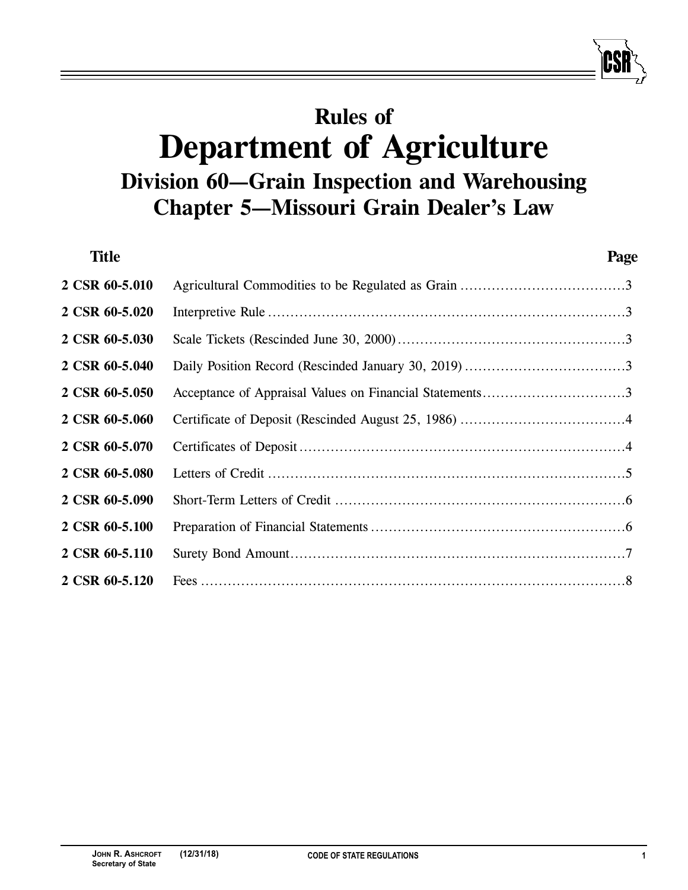# **Rules of Department of Agriculture Division 60—Grain Inspection and Warehousing Chapter 5—Missouri Grain Dealer's Law**

| <b>Title</b>   |                                                         | Page |
|----------------|---------------------------------------------------------|------|
| 2 CSR 60-5.010 |                                                         |      |
| 2 CSR 60-5.020 |                                                         |      |
| 2 CSR 60-5.030 |                                                         |      |
| 2 CSR 60-5.040 |                                                         |      |
| 2 CSR 60-5.050 | Acceptance of Appraisal Values on Financial Statements3 |      |
| 2 CSR 60-5.060 |                                                         |      |
| 2 CSR 60-5.070 |                                                         |      |
| 2 CSR 60-5.080 |                                                         |      |
| 2 CSR 60-5.090 |                                                         |      |
| 2 CSR 60-5.100 |                                                         |      |
| 2 CSR 60-5.110 |                                                         |      |
| 2 CSR 60-5.120 |                                                         |      |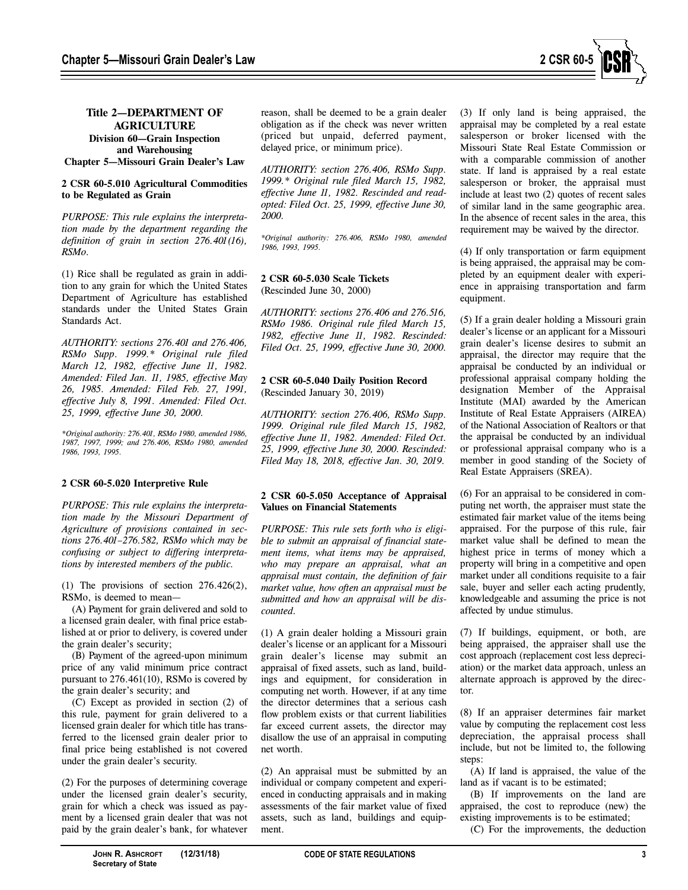

## **Title 2—DEPARTMENT OF AGRICULTURE Division 60—Grain Inspection and Warehousing Chapter 5—Missouri Grain Dealer's Law**

## **2 CSR 60-5.010 Agricultural Commodities to be Regulated as Grain**

*PURPOSE: This rule explains the interpretation made by the department regarding the definition of grain in section 276.401(16), RSMo.*

(1) Rice shall be regulated as grain in addition to any grain for which the United States Department of Agriculture has established standards under the United States Grain Standards Act.

*AUTHORITY: sections 276.401 and 276.406, RSMo Supp. 1999.\* Original rule filed March 12, 1982, effective June 11, 1982. Amended: Filed Jan. 11, 1985, effective May 26, 1985. Amended: Filed Feb. 27, 1991, effective July 8, 1991. Amended: Filed Oct. 25, 1999, effective June 30, 2000.*

*\*Original authority: 276.401, RSMo 1980, amended 1986, 1987, 1997, 1999; and 276.406, RSMo 1980, amended 1986, 1993, 1995.*

#### **2 CSR 60-5.020 Interpretive Rule**

*PURPOSE: This rule explains the interpretation made by the Missouri Department of Agriculture of provisions contained in sections 276.401–276.582, RSMo which may be confusing or subject to differing interpretations by interested members of the public.*

(1) The provisions of section  $276.426(2)$ , RSMo, is deemed to mean—

(A) Payment for grain delivered and sold to a licensed grain dealer, with final price established at or prior to delivery, is covered under the grain dealer's security;

(B) Payment of the agreed-upon minimum price of any valid minimum price contract pursuant to 276.461(10), RSMo is covered by the grain dealer's security; and

(C) Except as provided in section (2) of this rule, payment for grain delivered to a licensed grain dealer for which title has transferred to the licensed grain dealer prior to final price being established is not covered under the grain dealer's security.

(2) For the purposes of determining coverage under the licensed grain dealer's security, grain for which a check was issued as payment by a licensed grain dealer that was not paid by the grain dealer's bank, for whatever

reason, shall be deemed to be a grain dealer obligation as if the check was never written (priced but unpaid, deferred payment, delayed price, or minimum price).

*AUTHORITY: section 276.406, RSMo Supp. 1999.\* Original rule filed March 15, 1982, effective June 11, 1982. Rescinded and readopted: Filed Oct. 25, 1999, effective June 30, 2000.*

*\*Original authority: 276.406, RSMo 1980, amended 1986, 1993, 1995.*

#### **2 CSR 60-5.030 Scale Tickets** (Rescinded June 30, 2000)

*AUTHORITY: sections 276.406 and 276.516, RSMo 1986. Original rule filed March 15, 1982, effective June 11, 1982. Rescinded: Filed Oct. 25, 1999, effective June 30, 2000.*

## **2 CSR 60-5.040 Daily Position Record** (Rescinded January 30, 2019)

*AUTHORITY: section 276.406, RSMo Supp. 1999. Original rule filed March 15, 1982, effective June 11, 1982. Amended: Filed Oct. 25, 1999, effective June 30, 2000. Rescinded: Filed May 18, 2018, effective Jan. 30, 2019.*

## **2 CSR 60-5.050 Acceptance of Appraisal Values on Financial Statements**

*PURPOSE: This rule sets forth who is eligible to submit an appraisal of financial statement items, what items may be appraised, who may prepare an appraisal, what an appraisal must contain, the definition of fair market value, how often an appraisal must be submitted and how an appraisal will be discounted.*

(1) A grain dealer holding a Missouri grain dealer's license or an applicant for a Missouri grain dealer's license may submit an appraisal of fixed assets, such as land, buildings and equipment, for consideration in computing net worth. However, if at any time the director determines that a serious cash flow problem exists or that current liabilities far exceed current assets, the director may disallow the use of an appraisal in computing net worth.

(2) An appraisal must be submitted by an individual or company competent and experienced in conducting appraisals and in making assessments of the fair market value of fixed assets, such as land, buildings and equipment.

(3) If only land is being appraised, the appraisal may be completed by a real estate salesperson or broker licensed with the Missouri State Real Estate Commission or with a comparable commission of another state. If land is appraised by a real estate salesperson or broker, the appraisal must include at least two (2) quotes of recent sales of similar land in the same geographic area. In the absence of recent sales in the area, this requirement may be waived by the director.

(4) If only transportation or farm equipment is being appraised, the appraisal may be completed by an equipment dealer with experience in appraising transportation and farm equipment.

(5) If a grain dealer holding a Missouri grain dealer's license or an applicant for a Missouri grain dealer's license desires to submit an appraisal, the director may require that the appraisal be conducted by an individual or professional appraisal company holding the designation Member of the Appraisal Institute (MAI) awarded by the American Institute of Real Estate Appraisers (AIREA) of the National Association of Realtors or that the appraisal be conducted by an individual or professional appraisal company who is a member in good standing of the Society of Real Estate Appraisers (SREA).

(6) For an appraisal to be considered in computing net worth, the appraiser must state the estimated fair market value of the items being appraised. For the purpose of this rule, fair market value shall be defined to mean the highest price in terms of money which a property will bring in a competitive and open market under all conditions requisite to a fair sale, buyer and seller each acting prudently, knowledgeable and assuming the price is not affected by undue stimulus.

(7) If buildings, equipment, or both, are being appraised, the appraiser shall use the cost approach (replacement cost less depreciation) or the market data approach, unless an alternate approach is approved by the director.

(8) If an appraiser determines fair market value by computing the replacement cost less depreciation, the appraisal process shall include, but not be limited to, the following steps:

(A) If land is appraised, the value of the land as if vacant is to be estimated;

(B) If improvements on the land are appraised, the cost to reproduce (new) the existing improvements is to be estimated;

(C) For the improvements, the deduction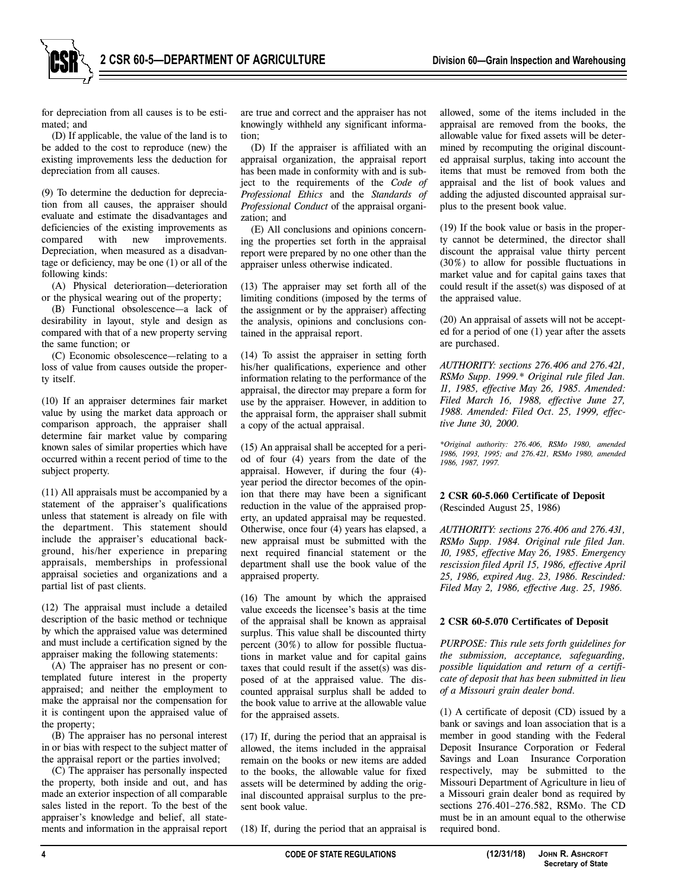**2 CSR 60-5—DEPARTMENT OF AGRICULTURE** Division 60—Grain Inspection and Warehousing

for depreciation from all causes is to be estimated; and

(D) If applicable, the value of the land is to be added to the cost to reproduce (new) the existing improvements less the deduction for depreciation from all causes.

(9) To determine the deduction for depreciation from all causes, the appraiser should evaluate and estimate the disadvantages and deficiencies of the existing improvements as compared with new improvements. Depreciation, when measured as a disadvantage or deficiency, may be one (1) or all of the following kinds:

(A) Physical deterioration—deterioration or the physical wearing out of the property;

(B) Functional obsolescence—a lack of desirability in layout, style and design as compared with that of a new property serving the same function; or

(C) Economic obsolescence—relating to a loss of value from causes outside the property itself.

(10) If an appraiser determines fair market value by using the market data approach or comparison approach, the appraiser shall determine fair market value by comparing known sales of similar properties which have occurred within a recent period of time to the subject property.

(11) All appraisals must be accompanied by a statement of the appraiser's qualifications unless that statement is already on file with the department. This statement should include the appraiser's educational background, his/her experience in preparing appraisals, memberships in professional appraisal societies and organizations and a partial list of past clients.

(12) The appraisal must include a detailed description of the basic method or technique by which the appraised value was determined and must include a certification signed by the appraiser making the following statements:

(A) The appraiser has no present or contemplated future interest in the property appraised; and neither the employment to make the appraisal nor the compensation for it is contingent upon the appraised value of the property;

(B) The appraiser has no personal interest in or bias with respect to the subject matter of the appraisal report or the parties involved;

(C) The appraiser has personally inspected the property, both inside and out, and has made an exterior inspection of all comparable sales listed in the report. To the best of the appraiser's knowledge and belief, all statements and information in the appraisal report are true and correct and the appraiser has not knowingly withheld any significant information;

(D) If the appraiser is affiliated with an appraisal organization, the appraisal report has been made in conformity with and is subject to the requirements of the *Code of Professional Ethics* and the *Standards of Professional Conduct* of the appraisal organization; and

(E) All conclusions and opinions concerning the properties set forth in the appraisal report were prepared by no one other than the appraiser unless otherwise indicated.

(13) The appraiser may set forth all of the limiting conditions (imposed by the terms of the assignment or by the appraiser) affecting the analysis, opinions and conclusions contained in the appraisal report.

(14) To assist the appraiser in setting forth his/her qualifications, experience and other information relating to the performance of the appraisal, the director may prepare a form for use by the appraiser. However, in addition to the appraisal form, the appraiser shall submit a copy of the actual appraisal.

(15) An appraisal shall be accepted for a period of four (4) years from the date of the appraisal. However, if during the four (4) year period the director becomes of the opinion that there may have been a significant reduction in the value of the appraised property, an updated appraisal may be requested. Otherwise, once four (4) years has elapsed, a new appraisal must be submitted with the next required financial statement or the department shall use the book value of the appraised property.

(16) The amount by which the appraised value exceeds the licensee's basis at the time of the appraisal shall be known as appraisal surplus. This value shall be discounted thirty percent (30%) to allow for possible fluctuations in market value and for capital gains taxes that could result if the asset(s) was disposed of at the appraised value. The discounted appraisal surplus shall be added to the book value to arrive at the allowable value for the appraised assets.

(17) If, during the period that an appraisal is allowed, the items included in the appraisal remain on the books or new items are added to the books, the allowable value for fixed assets will be determined by adding the original discounted appraisal surplus to the present book value.

(18) If, during the period that an appraisal is

allowed, some of the items included in the appraisal are removed from the books, the allowable value for fixed assets will be determined by recomputing the original discounted appraisal surplus, taking into account the items that must be removed from both the appraisal and the list of book values and adding the adjusted discounted appraisal surplus to the present book value.

(19) If the book value or basis in the property cannot be determined, the director shall discount the appraisal value thirty percent (30%) to allow for possible fluctuations in market value and for capital gains taxes that could result if the asset(s) was disposed of at the appraised value.

(20) An appraisal of assets will not be accepted for a period of one (1) year after the assets are purchased.

*AUTHORITY: sections 276.406 and 276.421, RSMo Supp. 1999.\* Original rule filed Jan. 11, 1985, effective May 26, 1985. Amended: Filed March 16, 1988, effective June 27, 1988. Amended: Filed Oct. 25, 1999, effective June 30, 2000.*

*\*Original authority: 276.406, RSMo 1980, amended 1986, 1993, 1995; and 276.421, RSMo 1980, amended 1986, 1987, 1997.*

### **2 CSR 60-5.060 Certificate of Deposit** (Rescinded August 25, 1986)

*AUTHORITY: sections 276.406 and 276.431, RSMo Supp. 1984. Original rule filed Jan. 10, 1985, effective May 26, 1985. Emergency rescission filed April 15, 1986, effective April 25, 1986, expired Aug. 23, 1986. Rescinded: Filed May 2, 1986, effective Aug. 25, 1986.*

#### **2 CSR 60-5.070 Certificates of Deposit**

*PURPOSE: This rule sets forth guidelines for the submission, acceptance, safeguarding, possible liquidation and return of a certificate of deposit that has been submitted in lieu of a Missouri grain dealer bond.*

(1) A certificate of deposit (CD) issued by a bank or savings and loan association that is a member in good standing with the Federal Deposit Insurance Corporation or Federal Savings and Loan Insurance Corporation respectively, may be submitted to the Missouri Department of Agriculture in lieu of a Missouri grain dealer bond as required by sections 276.401–276.582, RSMo. The CD must be in an amount equal to the otherwise required bond.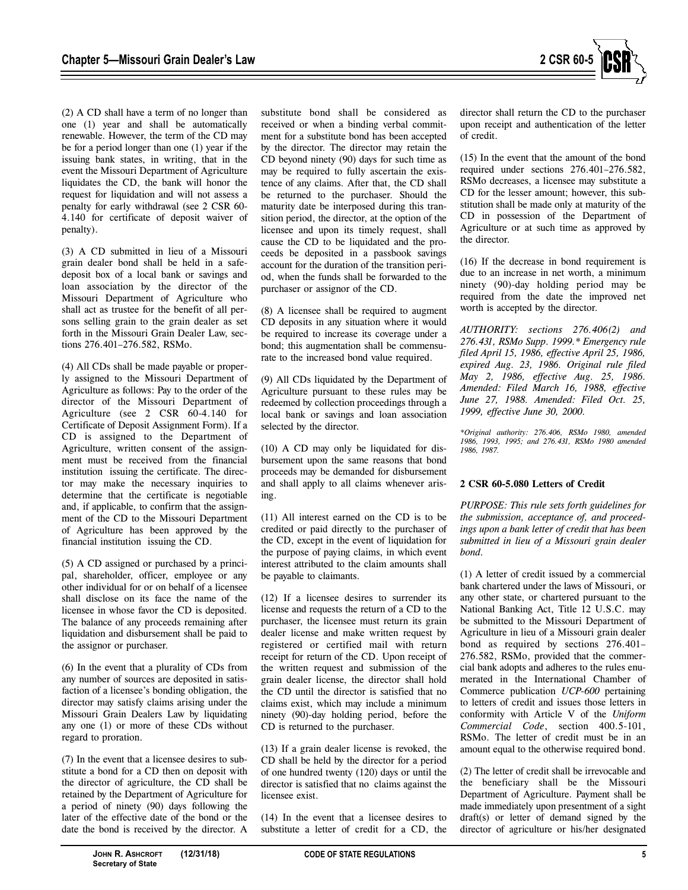

(2) A CD shall have a term of no longer than one (1) year and shall be automatically renewable. However, the term of the CD may be for a period longer than one (1) year if the issuing bank states, in writing, that in the event the Missouri Department of Agriculture liquidates the CD, the bank will honor the request for liquidation and will not assess a penalty for early withdrawal (see 2 CSR 60- 4.140 for certificate of deposit waiver of penalty).

(3) A CD submitted in lieu of a Missouri grain dealer bond shall be held in a safedeposit box of a local bank or savings and loan association by the director of the Missouri Department of Agriculture who shall act as trustee for the benefit of all persons selling grain to the grain dealer as set forth in the Missouri Grain Dealer Law, sections 276.401–276.582, RSMo.

(4) All CDs shall be made payable or properly assigned to the Missouri Department of Agriculture as follows: Pay to the order of the director of the Missouri Department of Agriculture (see 2 CSR 60-4.140 for Certificate of Deposit Assignment Form). If a CD is assigned to the Department of Agriculture, written consent of the assignment must be received from the financial institution issuing the certificate. The director may make the necessary inquiries to determine that the certificate is negotiable and, if applicable, to confirm that the assignment of the CD to the Missouri Department of Agriculture has been approved by the financial institution issuing the CD.

(5) A CD assigned or purchased by a principal, shareholder, officer, employee or any other individual for or on behalf of a licensee shall disclose on its face the name of the licensee in whose favor the CD is deposited. The balance of any proceeds remaining after liquidation and disbursement shall be paid to the assignor or purchaser.

(6) In the event that a plurality of CDs from any number of sources are deposited in satisfaction of a licensee's bonding obligation, the director may satisfy claims arising under the Missouri Grain Dealers Law by liquidating any one (1) or more of these CDs without regard to proration.

(7) In the event that a licensee desires to substitute a bond for a CD then on deposit with the director of agriculture, the CD shall be retained by the Department of Agriculture for a period of ninety (90) days following the later of the effective date of the bond or the date the bond is received by the director. A

substitute bond shall be considered as received or when a binding verbal commitment for a substitute bond has been accepted by the director. The director may retain the CD beyond ninety (90) days for such time as may be required to fully ascertain the existence of any claims. After that, the CD shall be returned to the purchaser. Should the maturity date be interposed during this transition period, the director, at the option of the licensee and upon its timely request, shall cause the CD to be liquidated and the proceeds be deposited in a passbook savings account for the duration of the transition period, when the funds shall be forwarded to the purchaser or assignor of the CD.

(8) A licensee shall be required to augment CD deposits in any situation where it would be required to increase its coverage under a bond; this augmentation shall be commensurate to the increased bond value required.

(9) All CDs liquidated by the Department of Agriculture pursuant to these rules may be redeemed by collection proceedings through a local bank or savings and loan association selected by the director.

(10) A CD may only be liquidated for disbursement upon the same reasons that bond proceeds may be demanded for disbursement and shall apply to all claims whenever arising.

(11) All interest earned on the CD is to be credited or paid directly to the purchaser of the CD, except in the event of liquidation for the purpose of paying claims, in which event interest attributed to the claim amounts shall be payable to claimants.

(12) If a licensee desires to surrender its license and requests the return of a CD to the purchaser, the licensee must return its grain dealer license and make written request by registered or certified mail with return receipt for return of the CD. Upon receipt of the written request and submission of the grain dealer license, the director shall hold the CD until the director is satisfied that no claims exist, which may include a minimum ninety (90)-day holding period, before the CD is returned to the purchaser.

(13) If a grain dealer license is revoked, the CD shall be held by the director for a period of one hundred twenty (120) days or until the director is satisfied that no claims against the licensee exist.

(14) In the event that a licensee desires to substitute a letter of credit for a CD, the director shall return the CD to the purchaser upon receipt and authentication of the letter of credit.

(15) In the event that the amount of the bond required under sections 276.401–276.582, RSMo decreases, a licensee may substitute a CD for the lesser amount; however, this substitution shall be made only at maturity of the CD in possession of the Department of Agriculture or at such time as approved by the director.

(16) If the decrease in bond requirement is due to an increase in net worth, a minimum ninety (90)-day holding period may be required from the date the improved net worth is accepted by the director.

*AUTHORITY: sections 276.406(2) and 276.431, RSMo Supp. 1999.\* Emergency rule filed April 15, 1986, effective April 25, 1986, expired Aug. 23, 1986. Original rule filed May 2, 1986, effective Aug. 25, 1986. Amended: Filed March 16, 1988, effective June 27, 1988. Amended: Filed Oct. 25, 1999, effective June 30, 2000.*

*\*Original authority: 276.406, RSMo 1980, amended 1986, 1993, 1995; and 276.431, RSMo 1980 amended 1986, 1987.*

### **2 CSR 60-5.080 Letters of Credit**

*PURPOSE: This rule sets forth guidelines for the submission, acceptance of, and proceedings upon a bank letter of credit that has been submitted in lieu of a Missouri grain dealer bond.*

(1) A letter of credit issued by a commercial bank chartered under the laws of Missouri, or any other state, or chartered pursuant to the National Banking Act, Title 12 U.S.C. may be submitted to the Missouri Department of Agriculture in lieu of a Missouri grain dealer bond as required by sections 276.401– 276.582, RSMo, provided that the commercial bank adopts and adheres to the rules enumerated in the International Chamber of Commerce publication *UCP-600* pertaining to letters of credit and issues those letters in conformity with Article V of the *Uniform Commercial Code*, section 400.5-101, RSMo. The letter of credit must be in an amount equal to the otherwise required bond.

(2) The letter of credit shall be irrevocable and the beneficiary shall be the Missouri Department of Agriculture. Payment shall be made immediately upon presentment of a sight draft(s) or letter of demand signed by the director of agriculture or his/her designated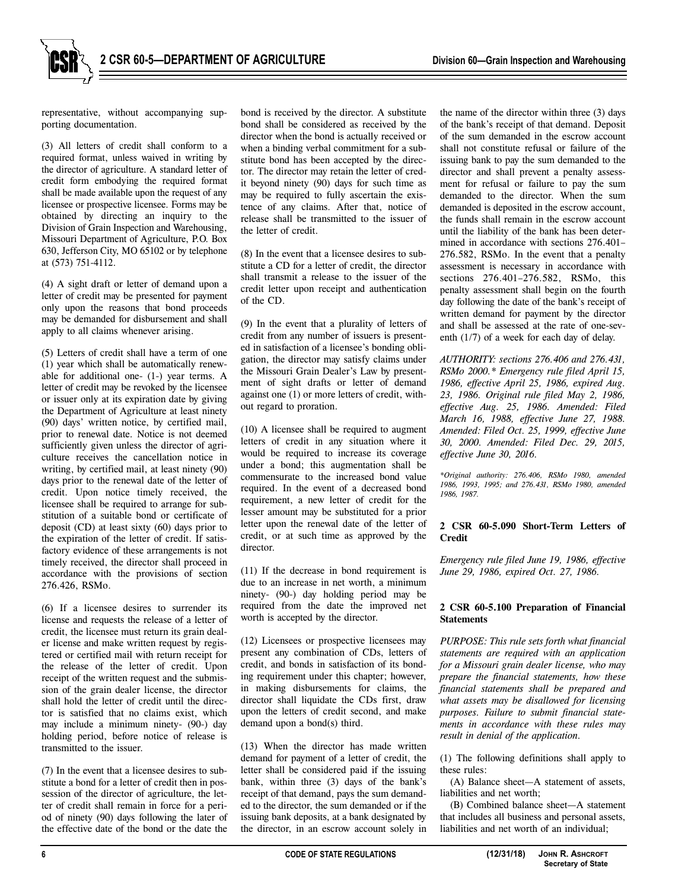representative, without accompanying supporting documentation.

(3) All letters of credit shall conform to a required format, unless waived in writing by the director of agriculture. A standard letter of credit form embodying the required format shall be made available upon the request of any licensee or prospective licensee. Forms may be obtained by directing an inquiry to the Division of Grain Inspection and Warehousing, Missouri Department of Agriculture, P.O. Box 630, Jefferson City, MO 65102 or by telephone at (573) 751-4112.

(4) A sight draft or letter of demand upon a letter of credit may be presented for payment only upon the reasons that bond proceeds may be demanded for disbursement and shall apply to all claims whenever arising.

(5) Letters of credit shall have a term of one (1) year which shall be automatically renewable for additional one- (1-) year terms. A letter of credit may be revoked by the licensee or issuer only at its expiration date by giving the Department of Agriculture at least ninety (90) days' written notice, by certified mail, prior to renewal date. Notice is not deemed sufficiently given unless the director of agriculture receives the cancellation notice in writing, by certified mail, at least ninety (90) days prior to the renewal date of the letter of credit. Upon notice timely received, the licensee shall be required to arrange for substitution of a suitable bond or certificate of deposit (CD) at least sixty (60) days prior to the expiration of the letter of credit. If satisfactory evidence of these arrangements is not timely received, the director shall proceed in accordance with the provisions of section 276.426, RSMo.

(6) If a licensee desires to surrender its license and requests the release of a letter of credit, the licensee must return its grain dealer license and make written request by registered or certified mail with return receipt for the release of the letter of credit. Upon receipt of the written request and the submission of the grain dealer license, the director shall hold the letter of credit until the director is satisfied that no claims exist, which may include a minimum ninety- (90-) day holding period, before notice of release is transmitted to the issuer.

(7) In the event that a licensee desires to substitute a bond for a letter of credit then in possession of the director of agriculture, the letter of credit shall remain in force for a period of ninety (90) days following the later of the effective date of the bond or the date the

bond is received by the director. A substitute bond shall be considered as received by the director when the bond is actually received or when a binding verbal commitment for a substitute bond has been accepted by the director. The director may retain the letter of credit beyond ninety (90) days for such time as may be required to fully ascertain the existence of any claims. After that, notice of release shall be transmitted to the issuer of the letter of credit.

(8) In the event that a licensee desires to substitute a CD for a letter of credit, the director shall transmit a release to the issuer of the credit letter upon receipt and authentication of the CD.

(9) In the event that a plurality of letters of credit from any number of issuers is presented in satisfaction of a licensee's bonding obligation, the director may satisfy claims under the Missouri Grain Dealer's Law by presentment of sight drafts or letter of demand against one (1) or more letters of credit, without regard to proration.

(10) A licensee shall be required to augment letters of credit in any situation where it would be required to increase its coverage under a bond; this augmentation shall be commensurate to the increased bond value required. In the event of a decreased bond requirement, a new letter of credit for the lesser amount may be substituted for a prior letter upon the renewal date of the letter of credit, or at such time as approved by the director.

(11) If the decrease in bond requirement is due to an increase in net worth, a minimum ninety- (90-) day holding period may be required from the date the improved net worth is accepted by the director.

(12) Licensees or prospective licensees may present any combination of CDs, letters of credit, and bonds in satisfaction of its bonding requirement under this chapter; however, in making disbursements for claims, the director shall liquidate the CDs first, draw upon the letters of credit second, and make demand upon a bond(s) third.

(13) When the director has made written demand for payment of a letter of credit, the letter shall be considered paid if the issuing bank, within three (3) days of the bank's receipt of that demand, pays the sum demanded to the director, the sum demanded or if the issuing bank deposits, at a bank designated by the director, in an escrow account solely in

the name of the director within three (3) days of the bank's receipt of that demand. Deposit of the sum demanded in the escrow account shall not constitute refusal or failure of the issuing bank to pay the sum demanded to the director and shall prevent a penalty assessment for refusal or failure to pay the sum demanded to the director. When the sum demanded is deposited in the escrow account, the funds shall remain in the escrow account until the liability of the bank has been determined in accordance with sections 276.401– 276.582, RSMo. In the event that a penalty assessment is necessary in accordance with sections 276.401–276.582, RSMo, this penalty assessment shall begin on the fourth day following the date of the bank's receipt of written demand for payment by the director and shall be assessed at the rate of one-seventh (1/7) of a week for each day of delay.

*AUTHORITY: sections 276.406 and 276.431, RSMo 2000.\* Emergency rule filed April 15, 1986, effective April 25, 1986, expired Aug. 23, 1986. Original rule filed May 2, 1986, effective Aug. 25, 1986. Amended: Filed March 16, 1988, effective June 27, 1988. Amended: Filed Oct. 25, 1999, effective June 30, 2000. Amended: Filed Dec. 29, 2015, effective June 30, 2016.*

*\*Original authority: 276.406, RSMo 1980, amended 1986, 1993, 1995; and 276.431, RSMo 1980, amended 1986, 1987.*

## **2 CSR 60-5.090 Short-Term Letters of Credit**

*Emergency rule filed June 19, 1986, effective June 29, 1986, expired Oct. 27, 1986.*

## **2 CSR 60-5.100 Preparation of Financial Statements**

*PURPOSE: This rule sets forth what financial statements are required with an application for a Missouri grain dealer license, who may prepare the financial statements, how these financial statements shall be prepared and what assets may be disallowed for licensing purposes. Failure to submit financial statements in accordance with these rules may result in denial of the application.* 

(1) The following definitions shall apply to these rules:

(A) Balance sheet—A statement of assets, liabilities and net worth;

(B) Combined balance sheet—A statement that includes all business and personal assets, liabilities and net worth of an individual;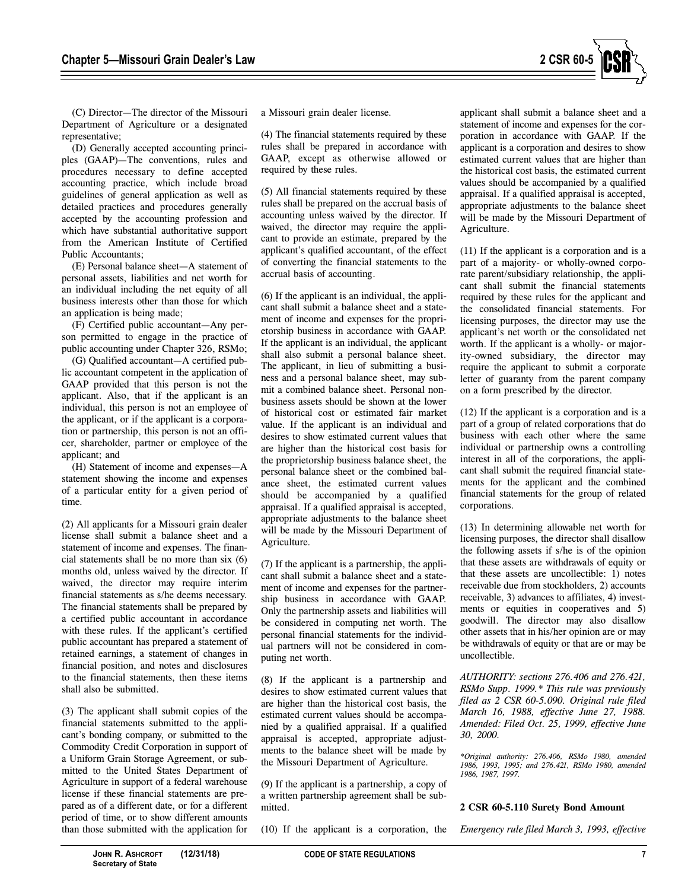

(C) Director—The director of the Missouri Department of Agriculture or a designated representative;

(D) Generally accepted accounting principles (GAAP)—The conventions, rules and procedures necessary to define accepted accounting practice, which include broad guidelines of general application as well as detailed practices and procedures generally accepted by the accounting profession and which have substantial authoritative support from the American Institute of Certified Public Accountants;

(E) Personal balance sheet—A statement of personal assets, liabilities and net worth for an individual including the net equity of all business interests other than those for which an application is being made;

(F) Certified public accountant—Any person permitted to engage in the practice of public accounting under Chapter 326, RSMo;

(G) Qualified accountant—A certified public accountant competent in the application of GAAP provided that this person is not the applicant. Also, that if the applicant is an individual, this person is not an employee of the applicant, or if the applicant is a corporation or partnership, this person is not an officer, shareholder, partner or employee of the applicant; and

(H) Statement of income and expenses—A statement showing the income and expenses of a particular entity for a given period of time.

(2) All applicants for a Missouri grain dealer license shall submit a balance sheet and a statement of income and expenses. The financial statements shall be no more than six (6) months old, unless waived by the director. If waived, the director may require interim financial statements as s/he deems necessary. The financial statements shall be prepared by a certified public accountant in accordance with these rules. If the applicant's certified public accountant has prepared a statement of retained earnings, a statement of changes in financial position, and notes and disclosures to the financial statements, then these items shall also be submitted.

(3) The applicant shall submit copies of the financial statements submitted to the applicant's bonding company, or submitted to the Commodity Credit Corporation in support of a Uniform Grain Storage Agreement, or submitted to the United States Department of Agriculture in support of a federal warehouse license if these financial statements are prepared as of a different date, or for a different period of time, or to show different amounts than those submitted with the application for

a Missouri grain dealer license.

(4) The financial statements required by these rules shall be prepared in accordance with GAAP, except as otherwise allowed or required by these rules.

(5) All financial statements required by these rules shall be prepared on the accrual basis of accounting unless waived by the director. If waived, the director may require the applicant to provide an estimate, prepared by the applicant's qualified accountant, of the effect of converting the financial statements to the accrual basis of accounting.

(6) If the applicant is an individual, the applicant shall submit a balance sheet and a statement of income and expenses for the proprietorship business in accordance with GAAP. If the applicant is an individual, the applicant shall also submit a personal balance sheet. The applicant, in lieu of submitting a business and a personal balance sheet, may submit a combined balance sheet. Personal nonbusiness assets should be shown at the lower of historical cost or estimated fair market value. If the applicant is an individual and desires to show estimated current values that are higher than the historical cost basis for the proprietorship business balance sheet, the personal balance sheet or the combined balance sheet, the estimated current values should be accompanied by a qualified appraisal. If a qualified appraisal is accepted, appropriate adjustments to the balance sheet will be made by the Missouri Department of Agriculture.

(7) If the applicant is a partnership, the applicant shall submit a balance sheet and a statement of income and expenses for the partnership business in accordance with GAAP. Only the partnership assets and liabilities will be considered in computing net worth. The personal financial statements for the individual partners will not be considered in computing net worth.

(8) If the applicant is a partnership and desires to show estimated current values that are higher than the historical cost basis, the estimated current values should be accompanied by a qualified appraisal. If a qualified appraisal is accepted, appropriate adjustments to the balance sheet will be made by the Missouri Department of Agriculture.

(9) If the applicant is a partnership, a copy of a written partnership agreement shall be submitted.

(10) If the applicant is a corporation, the

applicant shall submit a balance sheet and a statement of income and expenses for the corporation in accordance with GAAP. If the applicant is a corporation and desires to show estimated current values that are higher than the historical cost basis, the estimated current values should be accompanied by a qualified appraisal. If a qualified appraisal is accepted, appropriate adjustments to the balance sheet will be made by the Missouri Department of Agriculture.

(11) If the applicant is a corporation and is a part of a majority- or wholly-owned corporate parent/subsidiary relationship, the applicant shall submit the financial statements required by these rules for the applicant and the consolidated financial statements. For licensing purposes, the director may use the applicant's net worth or the consolidated net worth. If the applicant is a wholly- or majority-owned subsidiary, the director may require the applicant to submit a corporate letter of guaranty from the parent company on a form prescribed by the director.

(12) If the applicant is a corporation and is a part of a group of related corporations that do business with each other where the same individual or partnership owns a controlling interest in all of the corporations, the applicant shall submit the required financial statements for the applicant and the combined financial statements for the group of related corporations.

(13) In determining allowable net worth for licensing purposes, the director shall disallow the following assets if s/he is of the opinion that these assets are withdrawals of equity or that these assets are uncollectible: 1) notes receivable due from stockholders, 2) accounts receivable, 3) advances to affiliates, 4) investments or equities in cooperatives and 5) goodwill. The director may also disallow other assets that in his/her opinion are or may be withdrawals of equity or that are or may be uncollectible.

*AUTHORITY: sections 276.406 and 276.421, RSMo Supp. 1999.\* This rule was previously filed as 2 CSR 60-5.090. Original rule filed March 16, 1988, effective June 27, 1988. Amended: Filed Oct. 25, 1999, effective June 30, 2000.*

*\*Original authority: 276.406, RSMo 1980, amended 1986, 1993, 1995; and 276.421, RSMo 1980, amended 1986, 1987, 1997.*

#### **2 CSR 60-5.110 Surety Bond Amount**

*Emergency rule filed March 3, 1993, effective*